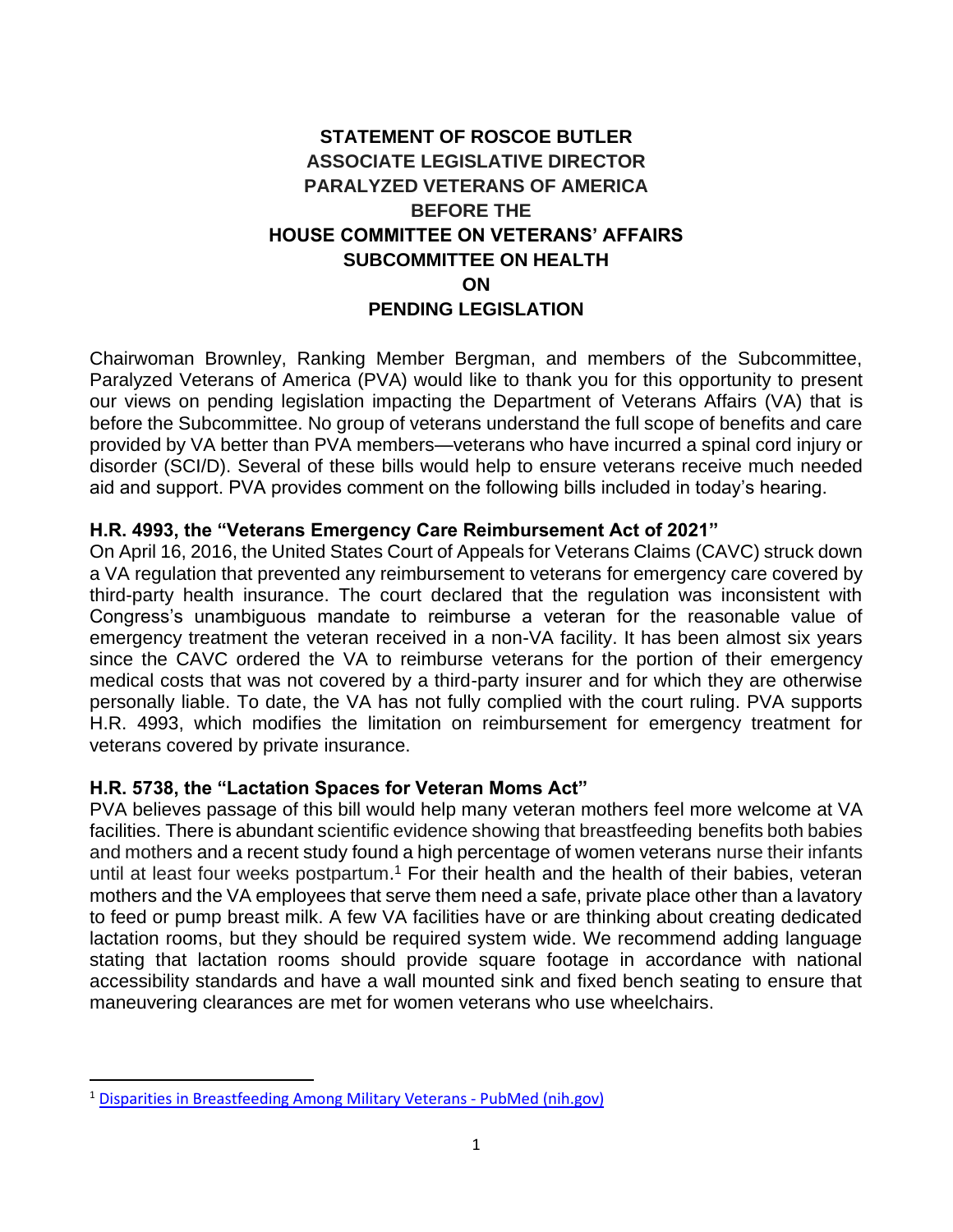# **STATEMENT OF ROSCOE BUTLER ASSOCIATE LEGISLATIVE DIRECTOR PARALYZED VETERANS OF AMERICA BEFORE THE HOUSE COMMITTEE ON VETERANS' AFFAIRS SUBCOMMITTEE ON HEALTH ON PENDING LEGISLATION**

Chairwoman Brownley, Ranking Member Bergman, and members of the Subcommittee, Paralyzed Veterans of America (PVA) would like to thank you for this opportunity to present our views on pending legislation impacting the Department of Veterans Affairs (VA) that is before the Subcommittee. No group of veterans understand the full scope of benefits and care provided by VA better than PVA members—veterans who have incurred a spinal cord injury or disorder (SCI/D). Several of these bills would help to ensure veterans receive much needed aid and support. PVA provides comment on the following bills included in today's hearing.

#### **H.R. 4993, the "Veterans Emergency Care Reimbursement Act of 2021"**

On April 16, 2016, the United States Court of Appeals for Veterans Claims (CAVC) struck down a VA regulation that prevented any reimbursement to veterans for emergency care covered by third-party health insurance. The court declared that the regulation was inconsistent with Congress's unambiguous mandate to reimburse a veteran for the reasonable value of emergency treatment the veteran received in a non-VA facility. It has been almost six years since the CAVC ordered the VA to reimburse veterans for the portion of their emergency medical costs that was not covered by a third-party insurer and for which they are otherwise personally liable. To date, the VA has not fully complied with the court ruling. PVA supports H.R. 4993, which modifies the limitation on reimbursement for emergency treatment for veterans covered by private insurance.

#### **H.R. 5738, the "Lactation Spaces for Veteran Moms Act"**

PVA believes passage of this bill would help many veteran mothers feel more welcome at VA facilities. There is abundant scientific evidence showing that breastfeeding [benefits both babies](https://www.insider.com/breastfeeding-formula-scientific-evidence-2018-7)  [and mothers](https://www.insider.com/breastfeeding-formula-scientific-evidence-2018-7) and a recent study found a high percentage of women veterans nurse their infants until at least four weeks postpartum.<sup>1</sup> For their health and the health of their babies, veteran mothers and the VA employees that serve them need a safe, private place other than a lavatory to feed or pump breast milk. A few VA facilities have or are thinking about creating dedicated lactation rooms, but they should be required system wide. We recommend adding language stating that lactation rooms should provide square footage in accordance with national accessibility standards and have a wall mounted sink and fixed bench seating to ensure that maneuvering clearances are met for women veterans who use wheelchairs.

<sup>1</sup> [Disparities in Breastfeeding Among Military Veterans -](https://pubmed.ncbi.nlm.nih.gov/31770049/) PubMed (nih.gov)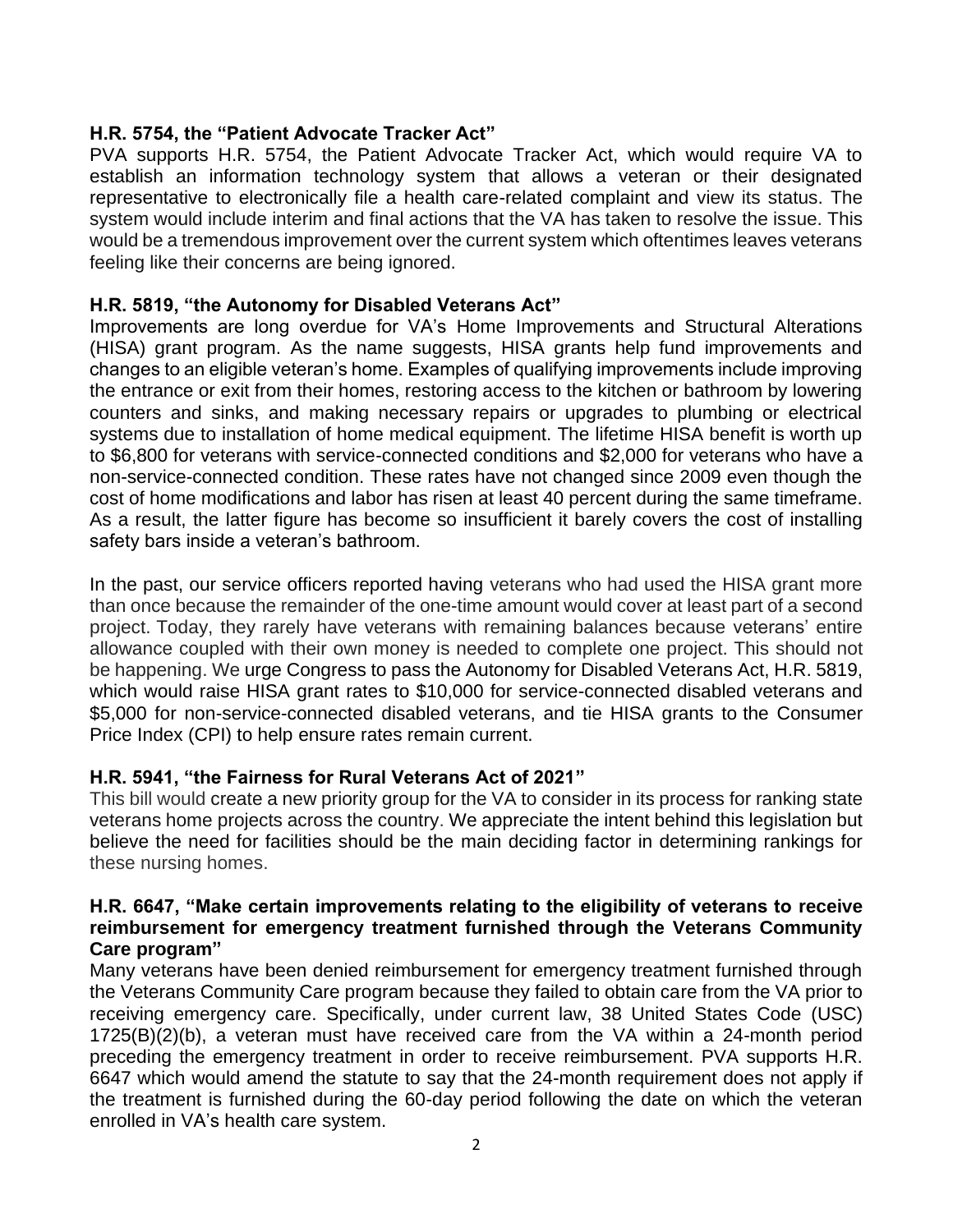### **H.R. 5754, the "Patient Advocate Tracker Act"**

PVA supports H.R. 5754, the Patient Advocate Tracker Act, which would require VA to establish an information technology system that allows a veteran or their designated representative to electronically file a health care-related complaint and view its status. The system would include interim and final actions that the VA has taken to resolve the issue. This would be a tremendous improvement over the current system which oftentimes leaves veterans feeling like their concerns are being ignored.

### **H.R. 5819, "the Autonomy for Disabled Veterans Act"**

Improvements are long overdue for VA's Home Improvements and Structural Alterations (HISA) grant program. As the name suggests, HISA grants help fund improvements and changes to an eligible veteran's home. Examples of qualifying improvements include improving the entrance or exit from their homes, restoring access to the kitchen or bathroom by lowering counters and sinks, and making necessary repairs or upgrades to plumbing or electrical systems due to installation of home medical equipment. The lifetime HISA benefit is worth up to \$6,800 for veterans with service-connected conditions and \$2,000 for veterans who have a non-service-connected condition. These rates have not changed since 2009 even though the cost of home modifications and labor has risen at least 40 percent during the same timeframe. As a result, the latter figure has become so insufficient it barely covers the cost of installing safety bars inside a veteran's bathroom.

In the past, our service officers reported having veterans who had used the HISA grant more than once because the remainder of the one-time amount would cover at least part of a second project. Today, they rarely have veterans with remaining balances because veterans' entire allowance coupled with their own money is needed to complete one project. This should not be happening. We urge Congress to pass the Autonomy for Disabled Veterans Act, H.R. 5819, which would raise HISA grant rates to \$10,000 for service-connected disabled veterans and \$5,000 for non-service-connected disabled veterans, and tie HISA grants to the Consumer Price Index (CPI) to help ensure rates remain current.

#### **H.R. 5941, "the Fairness for Rural Veterans Act of 2021"**

This bill would create a new priority group for the VA to consider in its process for ranking state veterans home projects across the country. We appreciate the intent behind this legislation but believe the need for facilities should be the main deciding factor in determining rankings for these nursing homes.

#### **H.R. 6647, "Make certain improvements relating to the eligibility of veterans to receive reimbursement for emergency treatment furnished through the Veterans Community Care program"**

Many veterans have been denied reimbursement for emergency treatment furnished through the Veterans Community Care program because they failed to obtain care from the VA prior to receiving emergency care. Specifically, under current law, 38 United States Code (USC) 1725(B)(2)(b), a veteran must have received care from the VA within a 24-month period preceding the emergency treatment in order to receive reimbursement. PVA supports H.R. 6647 which would amend the statute to say that the 24-month requirement does not apply if the treatment is furnished during the 60-day period following the date on which the veteran enrolled in VA's health care system.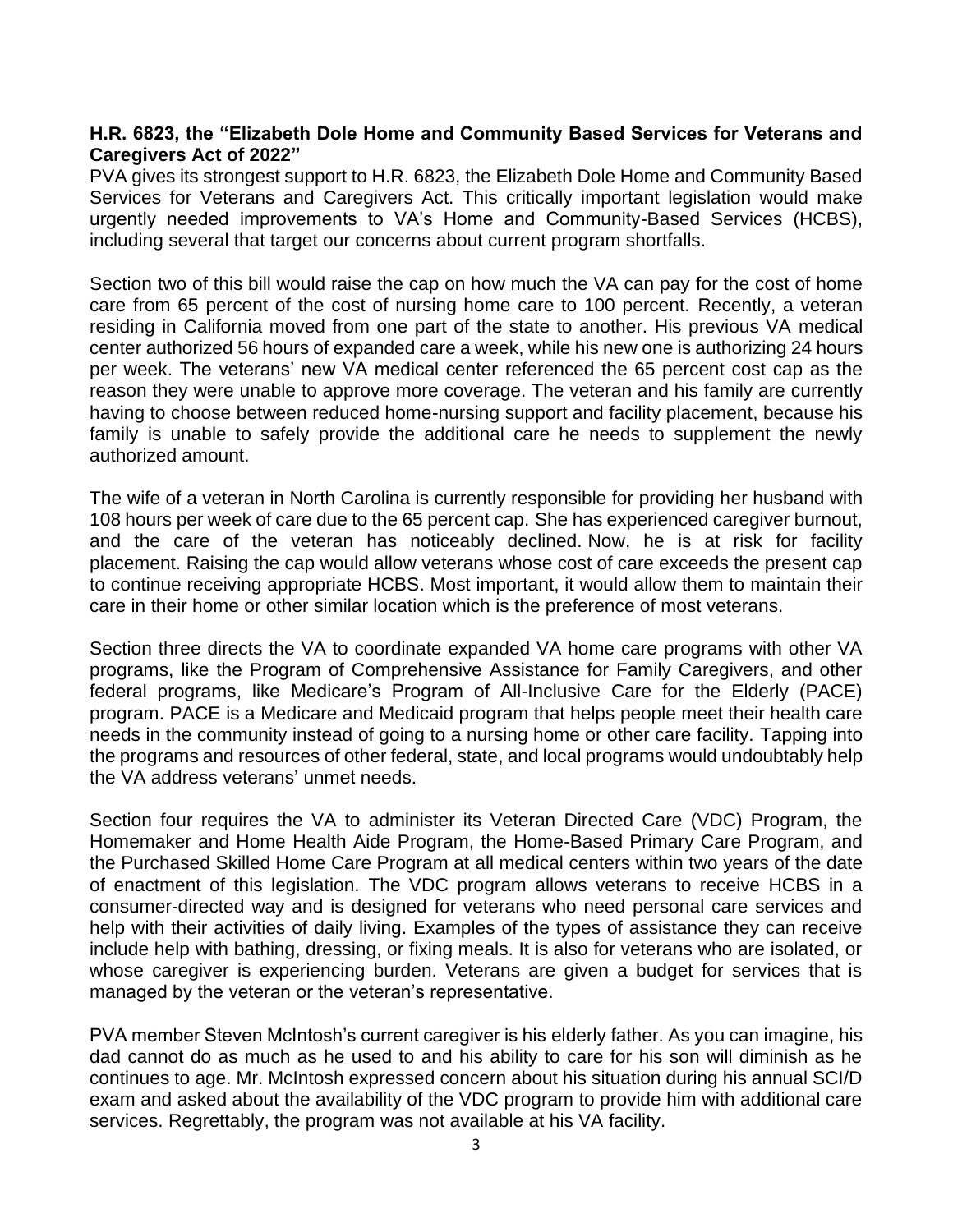#### **H.R. 6823, the "Elizabeth Dole Home and Community Based Services for Veterans and Caregivers Act of 2022"**

PVA gives its strongest support to H.R. 6823, the Elizabeth Dole Home and Community Based Services for Veterans and Caregivers Act. This critically important legislation would make urgently needed improvements to VA's Home and Community-Based Services (HCBS), including several that target our concerns about current program shortfalls.

Section two of this bill would raise the cap on how much the VA can pay for the cost of home care from 65 percent of the cost of nursing home care to 100 percent. Recently, a veteran residing in California moved from one part of the state to another. His previous VA medical center authorized 56 hours of expanded care a week, while his new one is authorizing 24 hours per week. The veterans' new VA medical center referenced the 65 percent cost cap as the reason they were unable to approve more coverage. The veteran and his family are currently having to choose between reduced home-nursing support and facility placement, because his family is unable to safely provide the additional care he needs to supplement the newly authorized amount.

The wife of a veteran in North Carolina is currently responsible for providing her husband with 108 hours per week of care due to the 65 percent cap. She has experienced caregiver burnout, and the care of the veteran has noticeably declined. Now, he is at risk for facility placement. Raising the cap would allow veterans whose cost of care exceeds the present cap to continue receiving appropriate HCBS. Most important, it would allow them to maintain their care in their home or other similar location which is the preference of most veterans.

Section three directs the VA to coordinate expanded VA home care programs with other VA programs, like the Program of Comprehensive Assistance for Family Caregivers, and other federal programs, like Medicare's Program of All-Inclusive Care for the Elderly (PACE) program. PACE is a Medicare and Medicaid program that helps people meet their health care needs in the community instead of going to a nursing home or other care facility. Tapping into the programs and resources of other federal, state, and local programs would undoubtably help the VA address veterans' unmet needs.

Section four requires the VA to administer its Veteran Directed Care (VDC) Program, the Homemaker and Home Health Aide Program, the Home-Based Primary Care Program, and the Purchased Skilled Home Care Program at all medical centers within two years of the date of enactment of this legislation. The VDC program allows veterans to receive HCBS in a consumer-directed way and is designed for veterans who need personal care services and help with their activities of daily living. Examples of the types of assistance they can receive include help with bathing, dressing, or fixing meals. It is also for veterans who are isolated, or whose caregiver is experiencing burden. Veterans are given a budget for services that is managed by the veteran or the veteran's representative.

PVA member Steven McIntosh's current caregiver is his elderly father. As you can imagine, his dad cannot do as much as he used to and his ability to care for his son will diminish as he continues to age. Mr. McIntosh expressed concern about his situation during his annual SCI/D exam and asked about the availability of the VDC program to provide him with additional care services. Regrettably, the program was not available at his VA facility.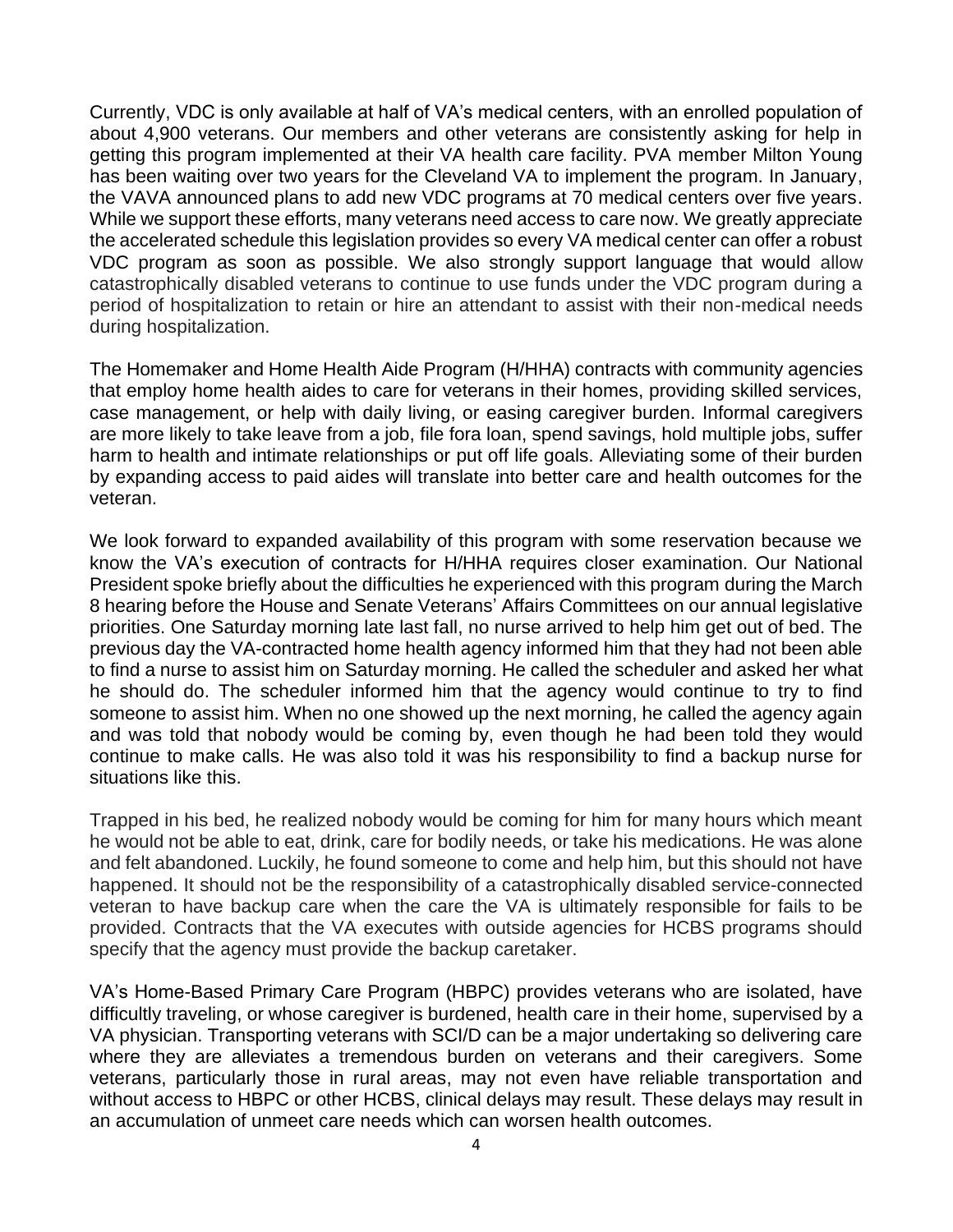Currently, VDC is only available at half of VA's medical centers, with an enrolled population of about 4,900 veterans. Our members and other veterans are consistently asking for help in getting this program implemented at their VA health care facility. PVA member Milton Young has been waiting over two years for the Cleveland VA to implement the program. In January, the VAVA announced plans to add new VDC programs at 70 medical centers over five years. While we support these efforts, many veterans need access to care now. We greatly appreciate the accelerated schedule this legislation provides so every VA medical center can offer a robust VDC program as soon as possible. We also strongly support language that would allow catastrophically disabled veterans to continue to use funds under the VDC program during a period of hospitalization to retain or hire an attendant to assist with their non-medical needs during hospitalization.

The Homemaker and Home Health Aide Program (H/HHA) contracts with community agencies that employ home health aides to care for veterans in their homes, providing skilled services, case management, or help with daily living, or easing caregiver burden. Informal caregivers are more likely to take leave from a job, file fora loan, spend savings, hold multiple jobs, suffer harm to health and intimate relationships or put off life goals. Alleviating some of their burden by expanding access to paid aides will translate into better care and health outcomes for the veteran.

We look forward to expanded availability of this program with some reservation because we know the VA's execution of contracts for H/HHA requires closer examination. Our National President spoke briefly about the difficulties he experienced with this program during the March 8 hearing before the House and Senate Veterans' Affairs Committees on our annual legislative priorities. One Saturday morning late last fall, no nurse arrived to help him get out of bed. The previous day the VA-contracted home health agency informed him that they had not been able to find a nurse to assist him on Saturday morning. He called the scheduler and asked her what he should do. The scheduler informed him that the agency would continue to try to find someone to assist him. When no one showed up the next morning, he called the agency again and was told that nobody would be coming by, even though he had been told they would continue to make calls. He was also told it was his responsibility to find a backup nurse for situations like this.

Trapped in his bed, he realized nobody would be coming for him for many hours which meant he would not be able to eat, drink, care for bodily needs, or take his medications. He was alone and felt abandoned. Luckily, he found someone to come and help him, but this should not have happened. It should not be the responsibility of a catastrophically disabled service-connected veteran to have backup care when the care the VA is ultimately responsible for fails to be provided. Contracts that the VA executes with outside agencies for HCBS programs should specify that the agency must provide the backup caretaker.

VA's Home-Based Primary Care Program (HBPC) provides veterans who are isolated, have difficultly traveling, or whose caregiver is burdened, health care in their home, supervised by a VA physician. Transporting veterans with SCI/D can be a major undertaking so delivering care where they are alleviates a tremendous burden on veterans and their caregivers. Some veterans, particularly those in rural areas, may not even have reliable transportation and without access to HBPC or other HCBS, clinical delays may result. These delays may result in an accumulation of unmeet care needs which can worsen health outcomes.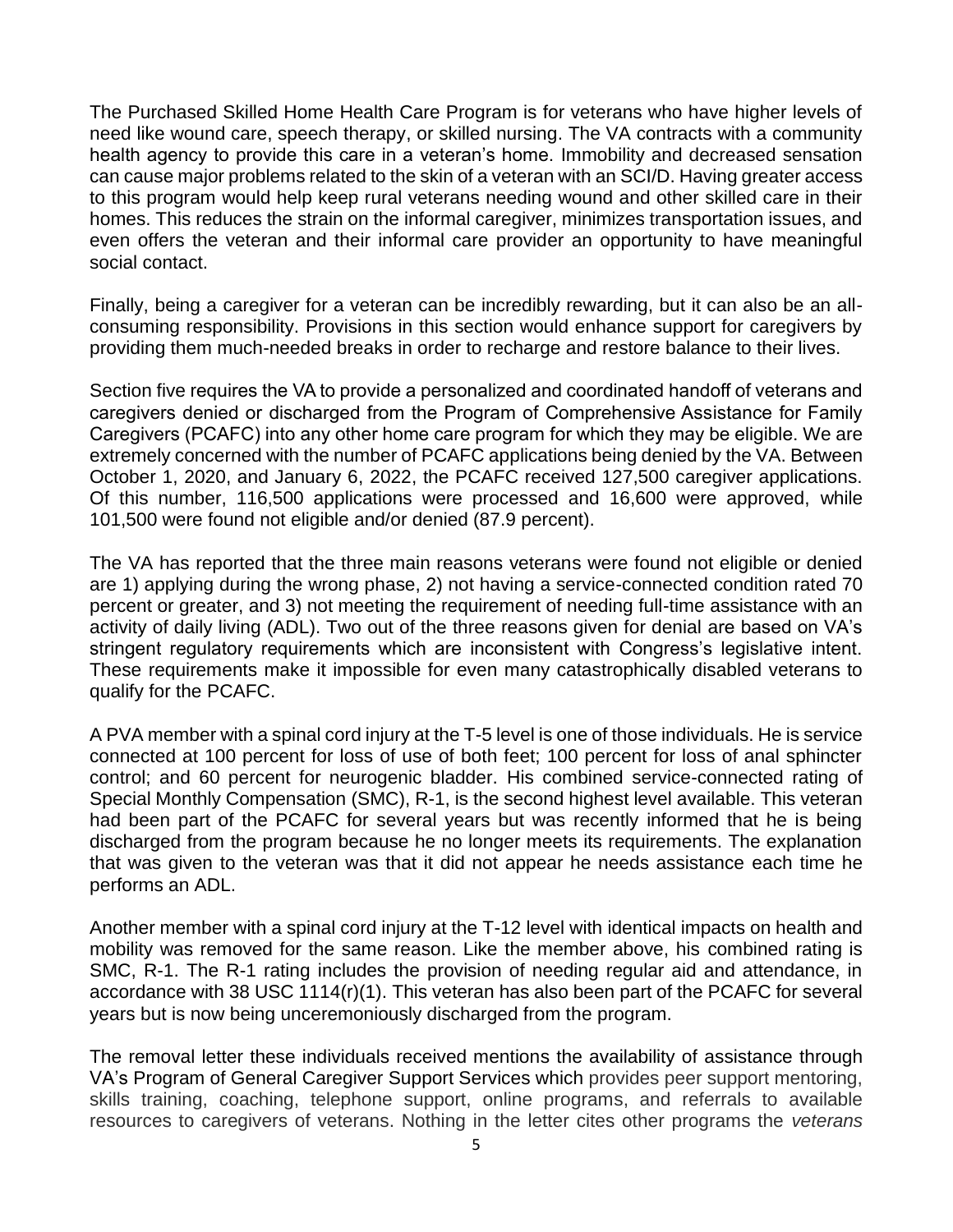The Purchased Skilled Home Health Care Program is for veterans who have higher levels of need like wound care, speech therapy, or skilled nursing. The VA contracts with a community health agency to provide this care in a veteran's home. Immobility and decreased sensation can cause major problems related to the skin of a veteran with an SCI/D. Having greater access to this program would help keep rural veterans needing wound and other skilled care in their homes. This reduces the strain on the informal caregiver, minimizes transportation issues, and even offers the veteran and their informal care provider an opportunity to have meaningful social contact.

Finally, being a caregiver for a veteran can be incredibly rewarding, but it can also be an allconsuming responsibility. Provisions in this section would enhance support for caregivers by providing them much-needed breaks in order to recharge and restore balance to their lives.

Section five requires the VA to provide a personalized and coordinated handoff of veterans and caregivers denied or discharged from the Program of Comprehensive Assistance for Family Caregivers (PCAFC) into any other home care program for which they may be eligible. We are extremely concerned with the number of PCAFC applications being denied by the VA. Between October 1, 2020, and January 6, 2022, the PCAFC received 127,500 caregiver applications. Of this number, 116,500 applications were processed and 16,600 were approved, while 101,500 were found not eligible and/or denied (87.9 percent).

The VA has reported that the three main reasons veterans were found not eligible or denied are 1) applying during the wrong phase, 2) not having a service-connected condition rated 70 percent or greater, and 3) not meeting the requirement of needing full-time assistance with an activity of daily living (ADL). Two out of the three reasons given for denial are based on VA's stringent regulatory requirements which are inconsistent with Congress's legislative intent. These requirements make it impossible for even many catastrophically disabled veterans to qualify for the PCAFC.

A PVA member with a spinal cord injury at the T-5 level is one of those individuals. He is service connected at 100 percent for loss of use of both feet; 100 percent for loss of anal sphincter control; and 60 percent for neurogenic bladder. His combined service-connected rating of Special Monthly Compensation (SMC), R-1, is the second highest level available. This veteran had been part of the PCAFC for several years but was recently informed that he is being discharged from the program because he no longer meets its requirements. The explanation that was given to the veteran was that it did not appear he needs assistance each time he performs an ADL.

Another member with a spinal cord injury at the T-12 level with identical impacts on health and mobility was removed for the same reason. Like the member above, his combined rating is SMC, R-1. The R-1 rating includes the provision of needing regular aid and attendance, in accordance with 38 USC 1114(r)(1). This veteran has also been part of the PCAFC for several years but is now being unceremoniously discharged from the program.

The removal letter these individuals received mentions the availability of assistance through VA's Program of General Caregiver Support Services which provides peer support mentoring, skills training, coaching, telephone support, online programs, and referrals to available resources to caregivers of veterans. Nothing in the letter cites other programs the *veterans*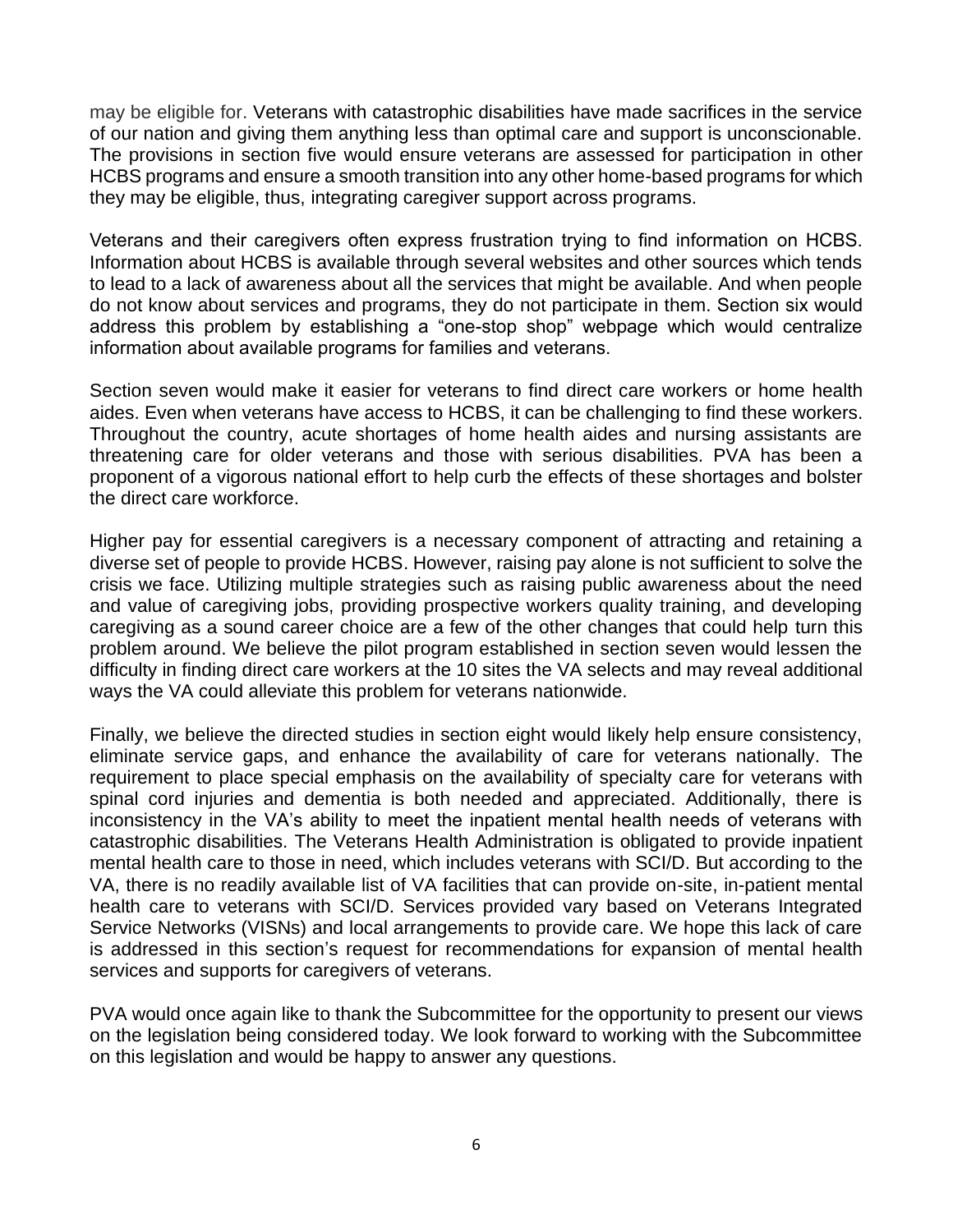may be eligible for. Veterans with catastrophic disabilities have made sacrifices in the service of our nation and giving them anything less than optimal care and support is unconscionable. The provisions in section five would ensure veterans are assessed for participation in other HCBS programs and ensure a smooth transition into any other home-based programs for which they may be eligible, thus, integrating caregiver support across programs.

Veterans and their caregivers often express frustration trying to find information on HCBS. Information about HCBS is available through several websites and other sources which tends to lead to a lack of awareness about all the services that might be available. And when people do not know about services and programs, they do not participate in them. Section six would address this problem by establishing a "one-stop shop" webpage which would centralize information about available programs for families and veterans.

Section seven would make it easier for veterans to find direct care workers or home health aides. Even when veterans have access to HCBS, it can be challenging to find these workers. Throughout the country, acute shortages of home health aides and nursing assistants are threatening care for older veterans and those with serious disabilities. PVA has been a proponent of a vigorous national effort to help curb the effects of these shortages and bolster the direct care workforce.

Higher pay for essential caregivers is a necessary component of attracting and retaining a diverse set of people to provide HCBS. However, raising pay alone is not sufficient to solve the crisis we face. Utilizing multiple strategies such as raising public awareness about the need and value of caregiving jobs, providing prospective workers quality training, and developing caregiving as a sound career choice are a few of the other changes that could help turn this problem around. We believe the pilot program established in section seven would lessen the difficulty in finding direct care workers at the 10 sites the VA selects and may reveal additional ways the VA could alleviate this problem for veterans nationwide.

Finally, we believe the directed studies in section eight would likely help ensure consistency, eliminate service gaps, and enhance the availability of care for veterans nationally. The requirement to place special emphasis on the availability of specialty care for veterans with spinal cord injuries and dementia is both needed and appreciated. Additionally, there is inconsistency in the VA's ability to meet the inpatient mental health needs of veterans with catastrophic disabilities. The Veterans Health Administration is obligated to provide inpatient mental health care to those in need, which includes veterans with SCI/D. But according to the VA, there is no readily available list of VA facilities that can provide on-site, in-patient mental health care to veterans with SCI/D. Services provided vary based on Veterans Integrated Service Networks (VISNs) and local arrangements to provide care. We hope this lack of care is addressed in this section's request for recommendations for expansion of mental health services and supports for caregivers of veterans.

PVA would once again like to thank the Subcommittee for the opportunity to present our views on the legislation being considered today. We look forward to working with the Subcommittee on this legislation and would be happy to answer any questions.